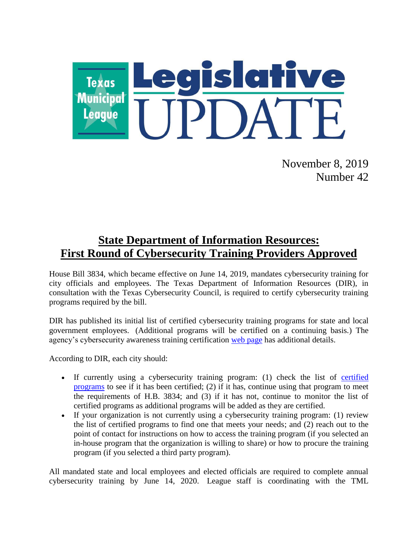

November 8, 2019 Number 42

## **State Department of Information Resources: First Round of Cybersecurity Training Providers Approved**

House Bill 3834, which became effective on June 14, 2019, mandates cybersecurity training for city officials and employees. The Texas Department of Information Resources (DIR), in consultation with the Texas Cybersecurity Council, is required to certify cybersecurity training programs required by the bill.

DIR has published its initial list of certified cybersecurity training programs for state and local government employees. (Additional programs will be certified on a continuing basis.) The agency's cybersecurity awareness training certification web [page](https://dir.texas.gov/View-About-DIR/Information-Security/Pages/Content.aspx?id=154) has additional details.

According to DIR, each city should:

- If currently using a cybersecurity training program: (1) check the list of [certified](https://pubext.dir.texas.gov/portal/internal/resources/DocumentLibrary/Certified%20Training%20Programs.docx)  [programs](https://pubext.dir.texas.gov/portal/internal/resources/DocumentLibrary/Certified%20Training%20Programs.docx) to see if it has been certified; (2) if it has, continue using that program to meet the requirements of H.B. 3834; and (3) if it has not, continue to monitor the list of certified programs as additional programs will be added as they are certified.
- If your organization is not currently using a cybersecurity training program: (1) review the list of certified programs to find one that meets your needs; and (2) reach out to the point of contact for instructions on how to access the training program (if you selected an in-house program that the organization is willing to share) or how to procure the training program (if you selected a third party program).

All mandated state and local employees and elected officials are required to complete annual cybersecurity training by June 14, 2020. League staff is coordinating with the TML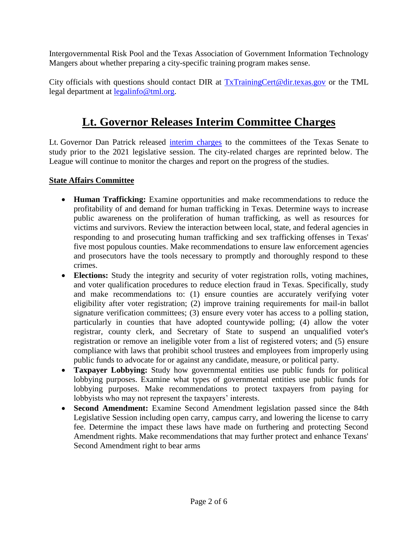Intergovernmental Risk Pool and the Texas Association of Government Information Technology Mangers about whether preparing a city-specific training program makes sense.

City officials with questions should contact DIR at [TxTrainingCert@dir.texas.gov](mailto:TxTrainingCert@dir.texas.gov) or the TML legal department at [legalinfo@tml.org.](mailto:legalinfo@tml.org)

# **Lt. Governor Releases Interim Committee Charges**

Lt. Governor Dan Patrick released [interim charges](https://www.ltgov.state.tx.us/wp-content/uploads/2019/10/2019-Interim-Legislative-Charges-FINAL.pdf) to the committees of the Texas Senate to study prior to the 2021 legislative session. The city-related charges are reprinted below. The League will continue to monitor the charges and report on the progress of the studies.

#### **State Affairs Committee**

- **Human Trafficking:** Examine opportunities and make recommendations to reduce the profitability of and demand for human trafficking in Texas. Determine ways to increase public awareness on the proliferation of human trafficking, as well as resources for victims and survivors. Review the interaction between local, state, and federal agencies in responding to and prosecuting human trafficking and sex trafficking offenses in Texas' five most populous counties. Make recommendations to ensure law enforcement agencies and prosecutors have the tools necessary to promptly and thoroughly respond to these crimes.
- **Elections:** Study the integrity and security of voter registration rolls, voting machines, and voter qualification procedures to reduce election fraud in Texas. Specifically, study and make recommendations to: (1) ensure counties are accurately verifying voter eligibility after voter registration; (2) improve training requirements for mail-in ballot signature verification committees; (3) ensure every voter has access to a polling station, particularly in counties that have adopted countywide polling; (4) allow the voter registrar, county clerk, and Secretary of State to suspend an unqualified voter's registration or remove an ineligible voter from a list of registered voters; and (5) ensure compliance with laws that prohibit school trustees and employees from improperly using public funds to advocate for or against any candidate, measure, or political party.
- **Taxpayer Lobbying:** Study how governmental entities use public funds for political lobbying purposes. Examine what types of governmental entities use public funds for lobbying purposes. Make recommendations to protect taxpayers from paying for lobbyists who may not represent the taxpayers' interests.
- **Second Amendment:** Examine Second Amendment legislation passed since the 84th Legislative Session including open carry, campus carry, and lowering the license to carry fee. Determine the impact these laws have made on furthering and protecting Second Amendment rights. Make recommendations that may further protect and enhance Texans' Second Amendment right to bear arms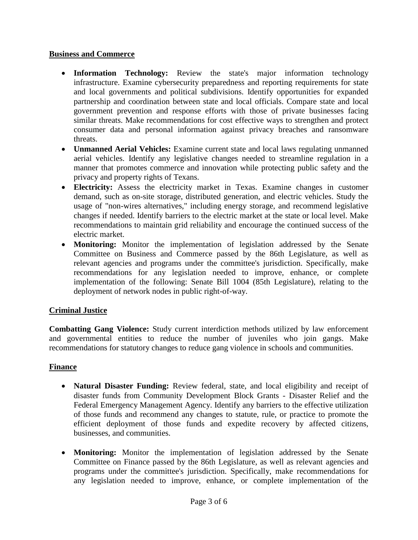#### **Business and Commerce**

- **Information Technology:** Review the state's major information technology infrastructure. Examine cybersecurity preparedness and reporting requirements for state and local governments and political subdivisions. Identify opportunities for expanded partnership and coordination between state and local officials. Compare state and local government prevention and response efforts with those of private businesses facing similar threats. Make recommendations for cost effective ways to strengthen and protect consumer data and personal information against privacy breaches and ransomware threats.
- **Unmanned Aerial Vehicles:** Examine current state and local laws regulating unmanned aerial vehicles. Identify any legislative changes needed to streamline regulation in a manner that promotes commerce and innovation while protecting public safety and the privacy and property rights of Texans.
- **Electricity:** Assess the electricity market in Texas. Examine changes in customer demand, such as on-site storage, distributed generation, and electric vehicles. Study the usage of "non-wires alternatives," including energy storage, and recommend legislative changes if needed. Identify barriers to the electric market at the state or local level. Make recommendations to maintain grid reliability and encourage the continued success of the electric market.
- **Monitoring:** Monitor the implementation of legislation addressed by the Senate Committee on Business and Commerce passed by the 86th Legislature, as well as relevant agencies and programs under the committee's jurisdiction. Specifically, make recommendations for any legislation needed to improve, enhance, or complete implementation of the following: Senate Bill 1004 (85th Legislature), relating to the deployment of network nodes in public right-of-way.

### **Criminal Justice**

**Combatting Gang Violence:** Study current interdiction methods utilized by law enforcement and governmental entities to reduce the number of juveniles who join gangs. Make recommendations for statutory changes to reduce gang violence in schools and communities.

### **Finance**

- **Natural Disaster Funding:** Review federal, state, and local eligibility and receipt of disaster funds from Community Development Block Grants - Disaster Relief and the Federal Emergency Management Agency. Identify any barriers to the effective utilization of those funds and recommend any changes to statute, rule, or practice to promote the efficient deployment of those funds and expedite recovery by affected citizens, businesses, and communities.
- **Monitoring:** Monitor the implementation of legislation addressed by the Senate Committee on Finance passed by the 86th Legislature, as well as relevant agencies and programs under the committee's jurisdiction. Specifically, make recommendations for any legislation needed to improve, enhance, or complete implementation of the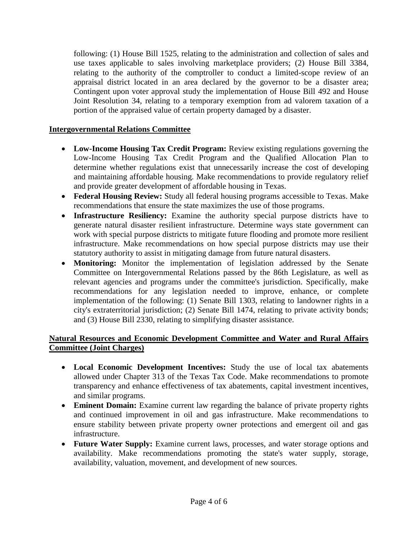following: (1) House Bill 1525, relating to the administration and collection of sales and use taxes applicable to sales involving marketplace providers; (2) House Bill 3384, relating to the authority of the comptroller to conduct a limited-scope review of an appraisal district located in an area declared by the governor to be a disaster area; Contingent upon voter approval study the implementation of House Bill 492 and House Joint Resolution 34, relating to a temporary exemption from ad valorem taxation of a portion of the appraised value of certain property damaged by a disaster.

#### **Intergovernmental Relations Committee**

- **Low-Income Housing Tax Credit Program:** Review existing regulations governing the Low-Income Housing Tax Credit Program and the Qualified Allocation Plan to determine whether regulations exist that unnecessarily increase the cost of developing and maintaining affordable housing. Make recommendations to provide regulatory relief and provide greater development of affordable housing in Texas.
- **Federal Housing Review:** Study all federal housing programs accessible to Texas. Make recommendations that ensure the state maximizes the use of those programs.
- **Infrastructure Resiliency:** Examine the authority special purpose districts have to generate natural disaster resilient infrastructure. Determine ways state government can work with special purpose districts to mitigate future flooding and promote more resilient infrastructure. Make recommendations on how special purpose districts may use their statutory authority to assist in mitigating damage from future natural disasters.
- **Monitoring:** Monitor the implementation of legislation addressed by the Senate Committee on Intergovernmental Relations passed by the 86th Legislature, as well as relevant agencies and programs under the committee's jurisdiction. Specifically, make recommendations for any legislation needed to improve, enhance, or complete implementation of the following: (1) Senate Bill 1303, relating to landowner rights in a city's extraterritorial jurisdiction; (2) Senate Bill 1474, relating to private activity bonds; and (3) House Bill 2330, relating to simplifying disaster assistance.

#### **Natural Resources and Economic Development Committee and Water and Rural Affairs Committee (Joint Charges)**

- **Local Economic Development Incentives:** Study the use of local tax abatements allowed under Chapter 313 of the Texas Tax Code. Make recommendations to promote transparency and enhance effectiveness of tax abatements, capital investment incentives, and similar programs.
- **Eminent Domain:** Examine current law regarding the balance of private property rights and continued improvement in oil and gas infrastructure. Make recommendations to ensure stability between private property owner protections and emergent oil and gas infrastructure.
- **Future Water Supply:** Examine current laws, processes, and water storage options and availability. Make recommendations promoting the state's water supply, storage, availability, valuation, movement, and development of new sources.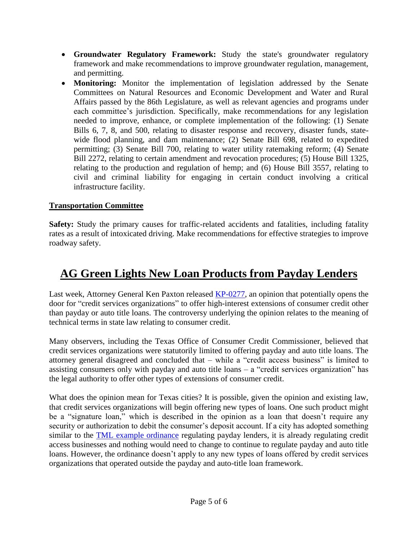- **Groundwater Regulatory Framework:** Study the state's groundwater regulatory framework and make recommendations to improve groundwater regulation, management, and permitting.
- **Monitoring:** Monitor the implementation of legislation addressed by the Senate Committees on Natural Resources and Economic Development and Water and Rural Affairs passed by the 86th Legislature, as well as relevant agencies and programs under each committee's jurisdiction. Specifically, make recommendations for any legislation needed to improve, enhance, or complete implementation of the following: (1) Senate Bills 6, 7, 8, and 500, relating to disaster response and recovery, disaster funds, statewide flood planning, and dam maintenance; (2) Senate Bill 698, related to expedited permitting; (3) Senate Bill 700, relating to water utility ratemaking reform; (4) Senate Bill 2272, relating to certain amendment and revocation procedures; (5) House Bill 1325, relating to the production and regulation of hemp; and (6) House Bill 3557, relating to civil and criminal liability for engaging in certain conduct involving a critical infrastructure facility.

### **Transportation Committee**

**Safety:** Study the primary causes for traffic-related accidents and fatalities, including fatality rates as a result of intoxicated driving. Make recommendations for effective strategies to improve roadway safety.

# **AG Green Lights New Loan Products from Payday Lenders**

Last week, Attorney General Ken Paxton released [KP-0277,](https://www.texasattorneygeneral.gov/sites/default/files/opinion-files/opinion/2019/kp-0277.pdf) an opinion that potentially opens the door for "credit services organizations" to offer high-interest extensions of consumer credit other than payday or auto title loans. The controversy underlying the opinion relates to the meaning of technical terms in state law relating to consumer credit.

Many observers, including the Texas Office of Consumer Credit Commissioner, believed that credit services organizations were statutorily limited to offering payday and auto title loans. The attorney general disagreed and concluded that – while a "credit access business" is limited to assisting consumers only with payday and auto title loans – a "credit services organization" has the legal authority to offer other types of extensions of consumer credit.

What does the opinion mean for Texas cities? It is possible, given the opinion and existing law, that credit services organizations will begin offering new types of loans. One such product might be a "signature loan," which is described in the opinion as a loan that doesn't require any security or authorization to debit the consumer's deposit account. If a city has adopted something similar to the [TML example ordinance](https://www.tml.org/313/Example-Ordinance) regulating payday lenders, it is already regulating credit access businesses and nothing would need to change to continue to regulate payday and auto title loans. However, the ordinance doesn't apply to any new types of loans offered by credit services organizations that operated outside the payday and auto-title loan framework.